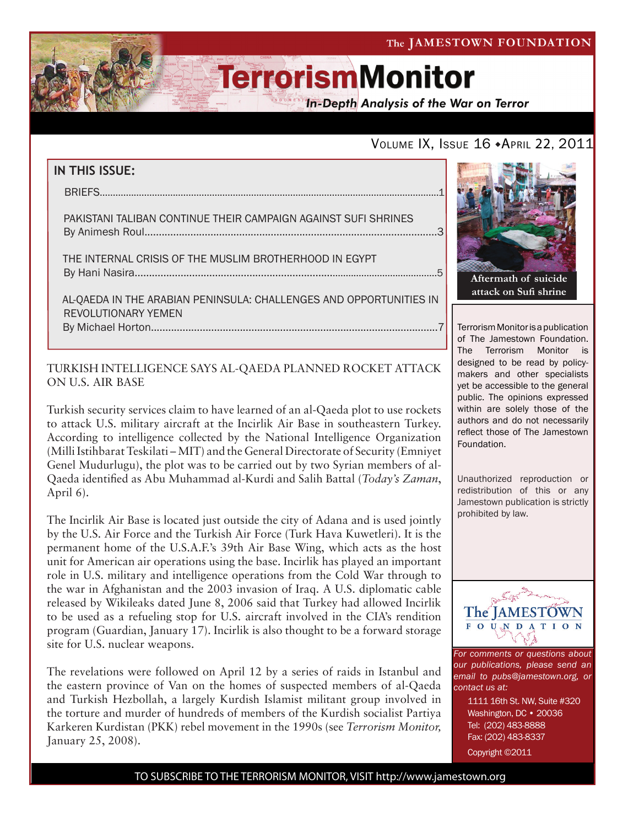

**In-Depth Analysis of the War on Terror** 

### VOLUME IX, ISSUE 16 + APRIL 22, 2011

### **IN THIS ISSUE:** briefs..................................................................................................................................1 pakistani taliban continue their campaign against sufi shrines By Animesh Roul......................................................................................................3 the internal crisis of the muslim brotherhood in egypt by Hani Nasira.............................................................................................................5 al-qaeda in the arabian peninsula: challenges and opportunities in revolutionary yemen By Michael Horton....................................................................................................7

### TURKISH INTELLIGENCE SAYS AL-QAEDA PLANNED ROCKET ATTACK ON U.S. AIR BASE

Turkish security services claim to have learned of an al-Qaeda plot to use rockets to attack U.S. military aircraft at the Incirlik Air Base in southeastern Turkey. According to intelligence collected by the National Intelligence Organization (Milli Istihbarat Teskilati – MIT) and the General Directorate of Security (Emniyet Genel Mudurlugu), the plot was to be carried out by two Syrian members of al-Qaeda identified as Abu Muhammad al-Kurdi and Salih Battal (*Today's Zaman*, April 6).

The Incirlik Air Base is located just outside the city of Adana and is used jointly by the U.S. Air Force and the Turkish Air Force (Turk Hava Kuwetleri). It is the permanent home of the U.S.A.F.'s 39th Air Base Wing, which acts as the host unit for American air operations using the base. Incirlik has played an important role in U.S. military and intelligence operations from the Cold War through to the war in Afghanistan and the 2003 invasion of Iraq. A U.S. diplomatic cable released by Wikileaks dated June 8, 2006 said that Turkey had allowed Incirlik to be used as a refueling stop for U.S. aircraft involved in the CIA's rendition program (Guardian, January 17). Incirlik is also thought to be a forward storage site for U.S. nuclear weapons.

The revelations were followed on April 12 by a series of raids in Istanbul and the eastern province of Van on the homes of suspected members of al-Qaeda and Turkish Hezbollah, a largely Kurdish Islamist militant group involved in the torture and murder of hundreds of members of the Kurdish socialist Partiya Karkeren Kurdistan (PKK) rebel movement in the 1990s (see *Terrorism Monitor,*  January 25, 2008).



Terrorism Monitor is a publication of The Jamestown Foundation. The Terrorism Monitor is designed to be read by policymakers and other specialists yet be accessible to the general public. The opinions expressed within are solely those of the authors and do not necessarily reflect those of The Jamestown Foundation.

Unauthorized reproduction or redistribution of this or any Jamestown publication is strictly prohibited by law.



*For comments or questions about our publications, please send an email to pubs@jamestown.org, or contact us at:* 

> 1111 16th St. NW, Suite #320 Washington, DC • 20036 Tel: (202) 483-8888 Fax: (202) 483-8337

Copyright ©2011

TO SUBSCRIBE TO THE TERRORISM MONITOR, VISIT http://www.jamestown.org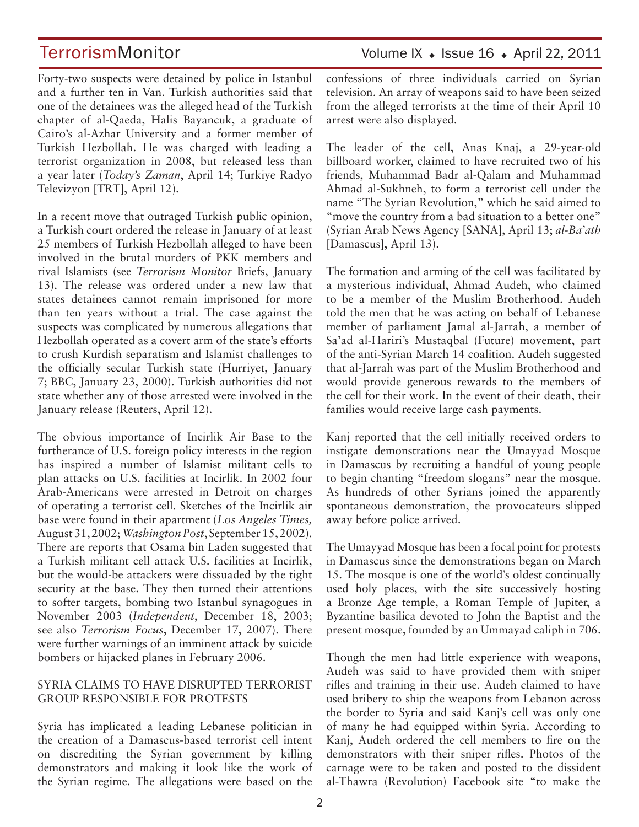Forty-two suspects were detained by police in Istanbul and a further ten in Van. Turkish authorities said that one of the detainees was the alleged head of the Turkish chapter of al-Qaeda, Halis Bayancuk, a graduate of Cairo's al-Azhar University and a former member of Turkish Hezbollah. He was charged with leading a terrorist organization in 2008, but released less than a year later (*Today's Zaman*, April 14; Turkiye Radyo Televizyon [TRT], April 12).

In a recent move that outraged Turkish public opinion, a Turkish court ordered the release in January of at least 25 members of Turkish Hezbollah alleged to have been involved in the brutal murders of PKK members and rival Islamists (see *Terrorism Monitor* Briefs, January 13). The release was ordered under a new law that states detainees cannot remain imprisoned for more than ten years without a trial. The case against the suspects was complicated by numerous allegations that Hezbollah operated as a covert arm of the state's efforts to crush Kurdish separatism and Islamist challenges to the officially secular Turkish state (Hurriyet, January 7; BBC, January 23, 2000). Turkish authorities did not state whether any of those arrested were involved in the January release (Reuters, April 12).

The obvious importance of Incirlik Air Base to the furtherance of U.S. foreign policy interests in the region has inspired a number of Islamist militant cells to plan attacks on U.S. facilities at Incirlik. In 2002 four Arab-Americans were arrested in Detroit on charges of operating a terrorist cell. Sketches of the Incirlik air base were found in their apartment (*Los Angeles Times,*  August 31, 2002; *Washington Post*, September 15, 2002). There are reports that Osama bin Laden suggested that a Turkish militant cell attack U.S. facilities at Incirlik, but the would-be attackers were dissuaded by the tight security at the base. They then turned their attentions to softer targets, bombing two Istanbul synagogues in November 2003 (*Independent*, December 18, 2003; see also *Terrorism Focus*, December 17, 2007). There were further warnings of an imminent attack by suicide bombers or hijacked planes in February 2006.

#### SYRIA CLAIMS TO HAVE DISRUPTED TERRORIST GROUP RESPONSIBLE FOR PROTESTS

Syria has implicated a leading Lebanese politician in the creation of a Damascus-based terrorist cell intent on discrediting the Syrian government by killing demonstrators and making it look like the work of the Syrian regime. The allegations were based on the confessions of three individuals carried on Syrian television. An array of weapons said to have been seized from the alleged terrorists at the time of their April 10 arrest were also displayed.

The leader of the cell, Anas Knaj, a 29-year-old billboard worker, claimed to have recruited two of his friends, Muhammad Badr al-Qalam and Muhammad Ahmad al-Sukhneh, to form a terrorist cell under the name "The Syrian Revolution," which he said aimed to "move the country from a bad situation to a better one" (Syrian Arab News Agency [SANA], April 13; *al-Ba'ath*  [Damascus], April 13).

The formation and arming of the cell was facilitated by a mysterious individual, Ahmad Audeh, who claimed to be a member of the Muslim Brotherhood. Audeh told the men that he was acting on behalf of Lebanese member of parliament Jamal al-Jarrah, a member of Sa'ad al-Hariri's Mustaqbal (Future) movement, part of the anti-Syrian March 14 coalition. Audeh suggested that al-Jarrah was part of the Muslim Brotherhood and would provide generous rewards to the members of the cell for their work. In the event of their death, their families would receive large cash payments.

Kanj reported that the cell initially received orders to instigate demonstrations near the Umayyad Mosque in Damascus by recruiting a handful of young people to begin chanting "freedom slogans" near the mosque. As hundreds of other Syrians joined the apparently spontaneous demonstration, the provocateurs slipped away before police arrived.

The Umayyad Mosque has been a focal point for protests in Damascus since the demonstrations began on March 15. The mosque is one of the world's oldest continually used holy places, with the site successively hosting a Bronze Age temple, a Roman Temple of Jupiter, a Byzantine basilica devoted to John the Baptist and the present mosque, founded by an Ummayad caliph in 706.

Though the men had little experience with weapons, Audeh was said to have provided them with sniper rifles and training in their use. Audeh claimed to have used bribery to ship the weapons from Lebanon across the border to Syria and said Kanj's cell was only one of many he had equipped within Syria. According to Kanj, Audeh ordered the cell members to fire on the demonstrators with their sniper rifles. Photos of the carnage were to be taken and posted to the dissident al-Thawra (Revolution) Facebook site "to make the

### TerrorismMonitor Volume IX + Issue 16 + April 22, 2011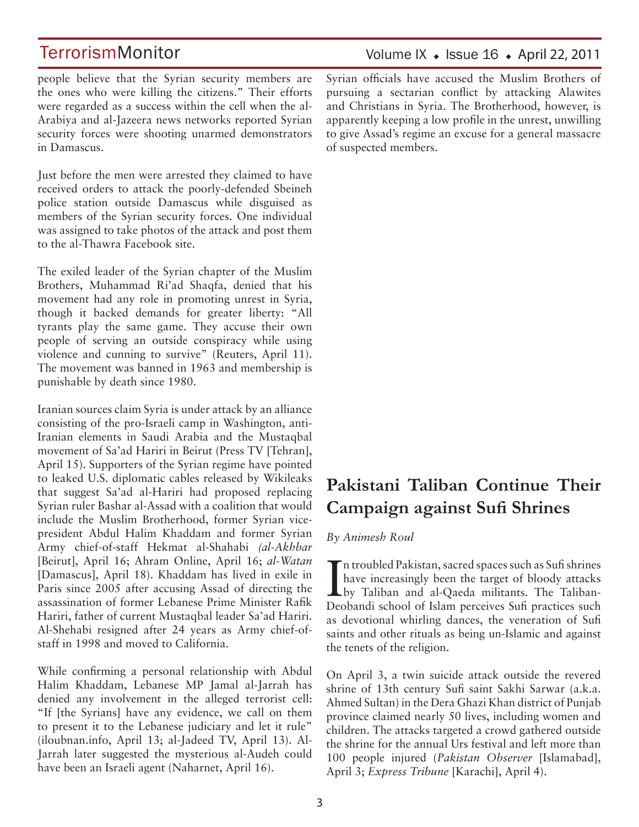people believe that the Syrian security members are the ones who were killing the citizens." Their efforts were regarded as a success within the cell when the al-Arabiya and al-Jazeera news networks reported Syrian security forces were shooting unarmed demonstrators in Damascus.

Just before the men were arrested they claimed to have received orders to attack the poorly-defended Sbeineh police station outside Damascus while disguised as members of the Syrian security forces. One individual was assigned to take photos of the attack and post them to the al-Thawra Facebook site.

The exiled leader of the Syrian chapter of the Muslim Brothers, Muhammad Ri'ad Shaqfa, denied that his movement had any role in promoting unrest in Syria, though it backed demands for greater liberty: "All tyrants play the same game. They accuse their own people of serving an outside conspiracy while using violence and cunning to survive" (Reuters, April 11). The movement was banned in 1963 and membership is punishable by death since 1980.

Iranian sources claim Syria is under attack by an alliance consisting of the pro-Israeli camp in Washington, anti-Iranian elements in Saudi Arabia and the Mustaqbal movement of Sa'ad Hariri in Beirut (Press TV [Tehran], April 15). Supporters of the Syrian regime have pointed to leaked U.S. diplomatic cables released by Wikileaks that suggest Sa'ad al-Hariri had proposed replacing Syrian ruler Bashar al-Assad with a coalition that would include the Muslim Brotherhood, former Syrian vicepresident Abdul Halim Khaddam and former Syrian Army chief-of-staff Hekmat al-Shahabi *(al-Akhbar*  [Beirut], April 16; Ahram Online, April 16; *al-Watan*  [Damascus], April 18). Khaddam has lived in exile in Paris since 2005 after accusing Assad of directing the assassination of former Lebanese Prime Minister Rafik Hariri, father of current Mustaqbal leader Sa'ad Hariri. Al-Shehabi resigned after 24 years as Army chief-ofstaff in 1998 and moved to California.

While confirming a personal relationship with Abdul Halim Khaddam, Lebanese MP Jamal al-Jarrah has denied any involvement in the alleged terrorist cell: "If [the Syrians] have any evidence, we call on them to present it to the Lebanese judiciary and let it rule" (iloubnan.info, April 13; al-Jadeed TV, April 13). Al-Jarrah later suggested the mysterious al-Audeh could have been an Israeli agent (Naharnet, April 16).

Syrian officials have accused the Muslim Brothers of pursuing a sectarian conflict by attacking Alawites and Christians in Syria. The Brotherhood, however, is apparently keeping a low profile in the unrest, unwilling to give Assad's regime an excuse for a general massacre of suspected members.

## **Pakistani Taliban Continue Their Campaign against Sufi Shrines**

### *By Animesh Roul*

In troubled Pakistan, sacred spaces such as Sufi shrines<br>have increasingly been the target of bloody attacks<br>by Taliban and al-Qaeda militants. The Talibann troubled Pakistan, sacred spaces such as Sufi shrines have increasingly been the target of bloody attacks Deobandi school of Islam perceives Sufi practices such as devotional whirling dances, the veneration of Sufi saints and other rituals as being un-Islamic and against the tenets of the religion.

On April 3, a twin suicide attack outside the revered shrine of 13th century Sufi saint Sakhi Sarwar (a.k.a. Ahmed Sultan) in the Dera Ghazi Khan district of Punjab province claimed nearly 50 lives, including women and children. The attacks targeted a crowd gathered outside the shrine for the annual Urs festival and left more than 100 people injured (*Pakistan Observer* [Islamabad], April 3; *Express Tribune* [Karachi], April 4).

### Volume IX  $\bullet$  Issue 16  $\bullet$  April 22, 2011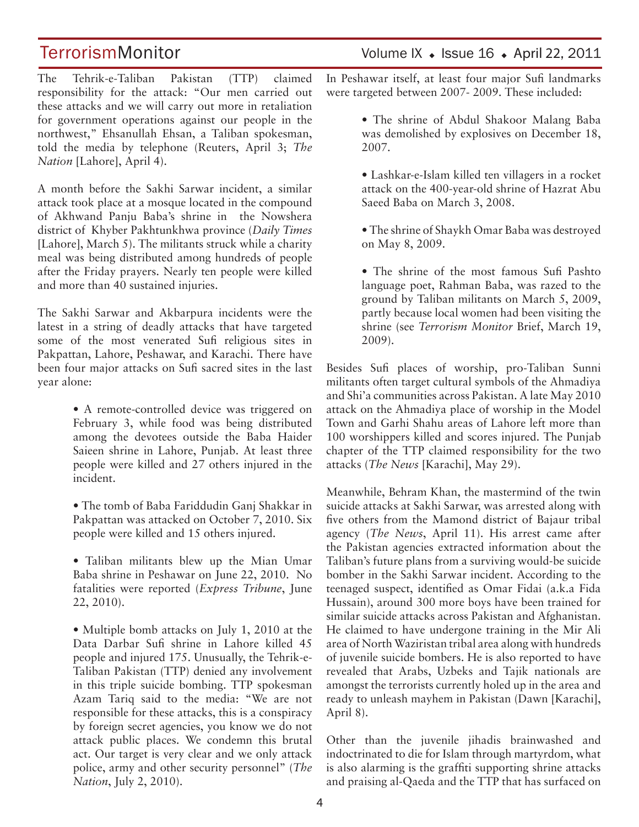The Tehrik-e-Taliban Pakistan (TTP) claimed responsibility for the attack: "Our men carried out these attacks and we will carry out more in retaliation for government operations against our people in the northwest," Ehsanullah Ehsan, a Taliban spokesman, told the media by telephone (Reuters, April 3; *The Nation* [Lahore], April 4).

A month before the Sakhi Sarwar incident, a similar attack took place at a mosque located in the compound of Akhwand Panju Baba's shrine in the Nowshera district of Khyber Pakhtunkhwa province (*Daily Times*  [Lahore], March 5). The militants struck while a charity meal was being distributed among hundreds of people after the Friday prayers. Nearly ten people were killed and more than 40 sustained injuries.

The Sakhi Sarwar and Akbarpura incidents were the latest in a string of deadly attacks that have targeted some of the most venerated Sufi religious sites in Pakpattan, Lahore, Peshawar, and Karachi. There have been four major attacks on Sufi sacred sites in the last year alone:

> • A remote-controlled device was triggered on February 3, while food was being distributed among the devotees outside the Baba Haider Saieen shrine in Lahore, Punjab. At least three people were killed and 27 others injured in the incident.

- The tomb of Baba Fariddudin Ganj Shakkar in Pakpattan was attacked on October 7, 2010. Six people were killed and 15 others injured.
- Taliban militants blew up the Mian Umar Baba shrine in Peshawar on June 22, 2010. No fatalities were reported (*Express Tribune*, June 22, 2010).

• Multiple bomb attacks on July 1, 2010 at the Data Darbar Sufi shrine in Lahore killed 45 people and injured 175. Unusually, the Tehrik-e-Taliban Pakistan (TTP) denied any involvement in this triple suicide bombing. TTP spokesman Azam Tariq said to the media: "We are not responsible for these attacks, this is a conspiracy by foreign secret agencies, you know we do not attack public places. We condemn this brutal act. Our target is very clear and we only attack police, army and other security personnel" (*The Nation*, July 2, 2010).

TerrorismMonitor Volume IX + Issue 16 + April 22, 2011

In Peshawar itself, at least four major Sufi landmarks were targeted between 2007- 2009. These included:

- The shrine of Abdul Shakoor Malang Baba was demolished by explosives on December 18, 2007.
- Lashkar-e-Islam killed ten villagers in a rocket attack on the 400-year-old shrine of Hazrat Abu Saeed Baba on March 3, 2008.
- The shrine of Shaykh Omar Baba was destroyed on May 8, 2009.

• The shrine of the most famous Sufi Pashto language poet, Rahman Baba, was razed to the ground by Taliban militants on March 5, 2009, partly because local women had been visiting the shrine (see *Terrorism Monitor* Brief, March 19, 2009).

Besides Sufi places of worship, pro-Taliban Sunni militants often target cultural symbols of the Ahmadiya and Shi'a communities across Pakistan. A late May 2010 attack on the Ahmadiya place of worship in the Model Town and Garhi Shahu areas of Lahore left more than 100 worshippers killed and scores injured. The Punjab chapter of the TTP claimed responsibility for the two attacks (*The News* [Karachi], May 29).

Meanwhile, Behram Khan, the mastermind of the twin suicide attacks at Sakhi Sarwar, was arrested along with five others from the Mamond district of Bajaur tribal agency (*The News*, April 11). His arrest came after the Pakistan agencies extracted information about the Taliban's future plans from a surviving would-be suicide bomber in the Sakhi Sarwar incident. According to the teenaged suspect, identified as Omar Fidai (a.k.a Fida Hussain), around 300 more boys have been trained for similar suicide attacks across Pakistan and Afghanistan. He claimed to have undergone training in the Mir Ali area of North Waziristan tribal area along with hundreds of juvenile suicide bombers. He is also reported to have revealed that Arabs, Uzbeks and Tajik nationals are amongst the terrorists currently holed up in the area and ready to unleash mayhem in Pakistan (Dawn [Karachi], April 8).

Other than the juvenile jihadis brainwashed and indoctrinated to die for Islam through martyrdom, what is also alarming is the graffiti supporting shrine attacks and praising al-Qaeda and the TTP that has surfaced on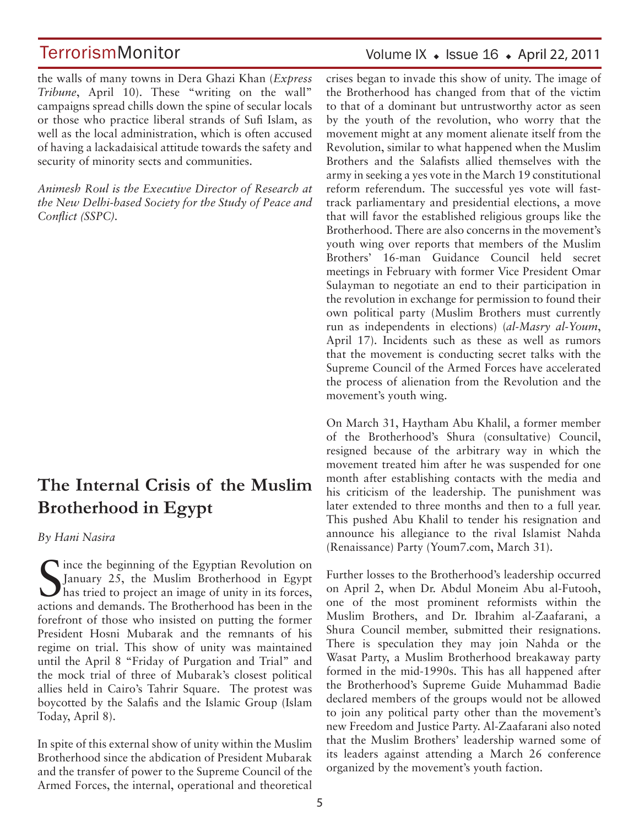the walls of many towns in Dera Ghazi Khan (*Express Tribune*, April 10). These "writing on the wall" campaigns spread chills down the spine of secular locals or those who practice liberal strands of Sufi Islam, as well as the local administration, which is often accused of having a lackadaisical attitude towards the safety and security of minority sects and communities.

*Animesh Roul is the Executive Director of Research at the New Delhi-based Society for the Study of Peace and Conflict (SSPC).*

## **The Internal Crisis of the Muslim Brotherhood in Egypt**

#### *By Hani Nasira*

Since the beginning of the Egyptian Revolution on<br>January 25, the Muslim Brotherhood in Egypt<br>has tried to project an image of unity in its forces, January 25, the Muslim Brotherhood in Egypt has tried to project an image of unity in its forces, actions and demands. The Brotherhood has been in the forefront of those who insisted on putting the former President Hosni Mubarak and the remnants of his regime on trial. This show of unity was maintained until the April 8 "Friday of Purgation and Trial" and the mock trial of three of Mubarak's closest political allies held in Cairo's Tahrir Square. The protest was boycotted by the Salafis and the Islamic Group (Islam Today, April 8).

In spite of this external show of unity within the Muslim Brotherhood since the abdication of President Mubarak and the transfer of power to the Supreme Council of the Armed Forces, the internal, operational and theoretical

### Volume IX  $\bullet$  Issue 16  $\bullet$  April 22, 2011

crises began to invade this show of unity. The image of the Brotherhood has changed from that of the victim to that of a dominant but untrustworthy actor as seen by the youth of the revolution, who worry that the movement might at any moment alienate itself from the Revolution, similar to what happened when the Muslim Brothers and the Salafists allied themselves with the army in seeking a yes vote in the March 19 constitutional reform referendum. The successful yes vote will fasttrack parliamentary and presidential elections, a move that will favor the established religious groups like the Brotherhood. There are also concerns in the movement's youth wing over reports that members of the Muslim Brothers' 16-man Guidance Council held secret meetings in February with former Vice President Omar Sulayman to negotiate an end to their participation in the revolution in exchange for permission to found their own political party (Muslim Brothers must currently run as independents in elections) (*al-Masry al-Youm*, April 17). Incidents such as these as well as rumors that the movement is conducting secret talks with the Supreme Council of the Armed Forces have accelerated the process of alienation from the Revolution and the movement's youth wing.

On March 31, Haytham Abu Khalil, a former member of the Brotherhood's Shura (consultative) Council, resigned because of the arbitrary way in which the movement treated him after he was suspended for one month after establishing contacts with the media and his criticism of the leadership. The punishment was later extended to three months and then to a full year. This pushed Abu Khalil to tender his resignation and announce his allegiance to the rival Islamist Nahda (Renaissance) Party (Youm7.com, March 31).

Further losses to the Brotherhood's leadership occurred on April 2, when Dr. Abdul Moneim Abu al-Futooh, one of the most prominent reformists within the Muslim Brothers, and Dr. Ibrahim al-Zaafarani, a Shura Council member, submitted their resignations. There is speculation they may join Nahda or the Wasat Party, a Muslim Brotherhood breakaway party formed in the mid-1990s. This has all happened after the Brotherhood's Supreme Guide Muhammad Badie declared members of the groups would not be allowed to join any political party other than the movement's new Freedom and Justice Party. Al-Zaafarani also noted that the Muslim Brothers' leadership warned some of its leaders against attending a March 26 conference organized by the movement's youth faction.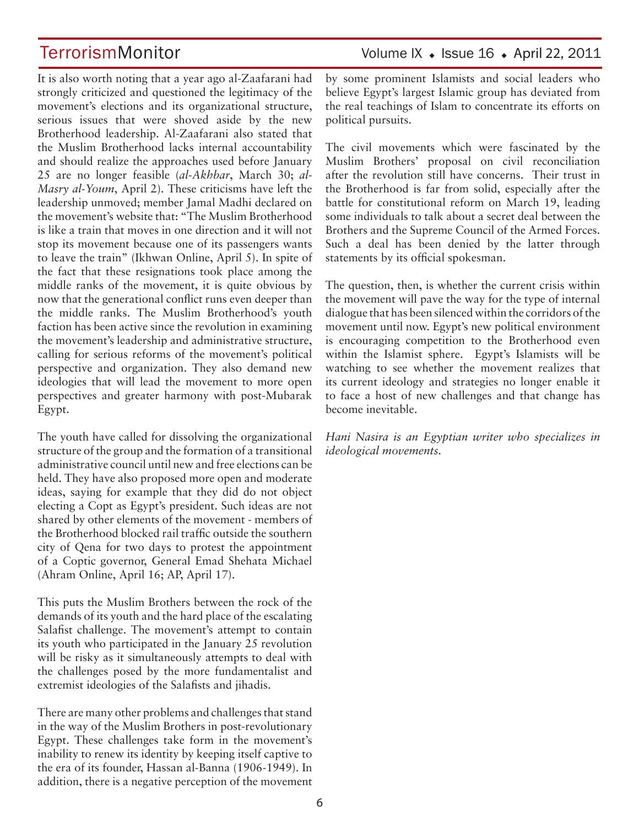TerrorismMonitor Volume IX + Issue 16 + April 22, 2011

It is also worth noting that a year ago al-Zaafarani had strongly criticized and questioned the legitimacy of the movement's elections and its organizational structure, serious issues that were shoved aside by the new Brotherhood leadership. Al-Zaafarani also stated that the Muslim Brotherhood lacks internal accountability and should realize the approaches used before January 25 are no longer feasible (*al-Akhbar*, March 30; *al-Masry al-Youm*, April 2). These criticisms have left the leadership unmoved; member Jamal Madhi declared on the movement's website that: "The Muslim Brotherhood is like a train that moves in one direction and it will not stop its movement because one of its passengers wants to leave the train" (Ikhwan Online, April 5). In spite of the fact that these resignations took place among the middle ranks of the movement, it is quite obvious by now that the generational conflict runs even deeper than the middle ranks. The Muslim Brotherhood's youth faction has been active since the revolution in examining the movement's leadership and administrative structure, calling for serious reforms of the movement's political perspective and organization. They also demand new ideologies that will lead the movement to more open perspectives and greater harmony with post-Mubarak Egypt.

The youth have called for dissolving the organizational structure of the group and the formation of a transitional administrative council until new and free elections can be held. They have also proposed more open and moderate ideas, saying for example that they did do not object electing a Copt as Egypt's president. Such ideas are not shared by other elements of the movement - members of the Brotherhood blocked rail traffic outside the southern city of Qena for two days to protest the appointment of a Coptic governor, General Emad Shehata Michael (Ahram Online, April 16; AP, April 17).

This puts the Muslim Brothers between the rock of the demands of its youth and the hard place of the escalating Salafist challenge. The movement's attempt to contain its youth who participated in the January 25 revolution will be risky as it simultaneously attempts to deal with the challenges posed by the more fundamentalist and extremist ideologies of the Salafists and jihadis.

There are many other problems and challenges that stand in the way of the Muslim Brothers in post-revolutionary Egypt. These challenges take form in the movement's inability to renew its identity by keeping itself captive to the era of its founder, Hassan al-Banna (1906-1949). In addition, there is a negative perception of the movement

by some prominent Islamists and social leaders who believe Egypt's largest Islamic group has deviated from the real teachings of Islam to concentrate its efforts on political pursuits.

The civil movements which were fascinated by the Muslim Brothers' proposal on civil reconciliation after the revolution still have concerns. Their trust in the Brotherhood is far from solid, especially after the battle for constitutional reform on March 19, leading some individuals to talk about a secret deal between the Brothers and the Supreme Council of the Armed Forces. Such a deal has been denied by the latter through statements by its official spokesman.

The question, then, is whether the current crisis within the movement will pave the way for the type of internal dialogue that has been silenced within the corridors of the movement until now. Egypt's new political environment is encouraging competition to the Brotherhood even within the Islamist sphere. Egypt's Islamists will be watching to see whether the movement realizes that its current ideology and strategies no longer enable it to face a host of new challenges and that change has become inevitable.

*Hani Nasira is an Egyptian writer who specializes in ideological movements.*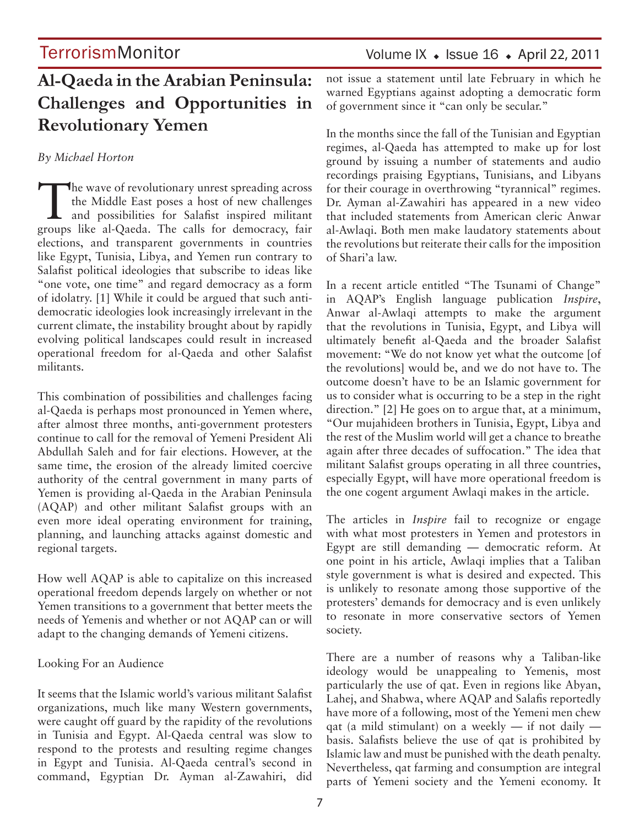## **Al-Qaeda in the Arabian Peninsula: Challenges and Opportunities in Revolutionary Yemen**

### *By Michael Horton*

The wave of revolutionary unrest spreading across<br>the Middle East poses a host of new challenges<br>and possibilities for Salafist inspired militant the Middle East poses a host of new challenges groups like al-Qaeda. The calls for democracy, fair elections, and transparent governments in countries like Egypt, Tunisia, Libya, and Yemen run contrary to Salafist political ideologies that subscribe to ideas like "one vote, one time" and regard democracy as a form of idolatry. [1] While it could be argued that such antidemocratic ideologies look increasingly irrelevant in the current climate, the instability brought about by rapidly evolving political landscapes could result in increased operational freedom for al-Qaeda and other Salafist militants.

This combination of possibilities and challenges facing al-Qaeda is perhaps most pronounced in Yemen where, after almost three months, anti-government protesters continue to call for the removal of Yemeni President Ali Abdullah Saleh and for fair elections. However, at the same time, the erosion of the already limited coercive authority of the central government in many parts of Yemen is providing al-Qaeda in the Arabian Peninsula (AQAP) and other militant Salafist groups with an even more ideal operating environment for training, planning, and launching attacks against domestic and regional targets.

How well AQAP is able to capitalize on this increased operational freedom depends largely on whether or not Yemen transitions to a government that better meets the needs of Yemenis and whether or not AQAP can or will adapt to the changing demands of Yemeni citizens.

### Looking For an Audience

It seems that the Islamic world's various militant Salafist organizations, much like many Western governments, were caught off guard by the rapidity of the revolutions in Tunisia and Egypt. Al-Qaeda central was slow to respond to the protests and resulting regime changes in Egypt and Tunisia. Al-Qaeda central's second in command, Egyptian Dr. Ayman al-Zawahiri, did not issue a statement until late February in which he warned Egyptians against adopting a democratic form of government since it "can only be secular."

In the months since the fall of the Tunisian and Egyptian regimes, al-Qaeda has attempted to make up for lost ground by issuing a number of statements and audio recordings praising Egyptians, Tunisians, and Libyans for their courage in overthrowing "tyrannical" regimes. Dr. Ayman al-Zawahiri has appeared in a new video that included statements from American cleric Anwar al-Awlaqi. Both men make laudatory statements about the revolutions but reiterate their calls for the imposition of Shari'a law.

In a recent article entitled "The Tsunami of Change" in AQAP's English language publication *Inspire*, Anwar al-Awlaqi attempts to make the argument that the revolutions in Tunisia, Egypt, and Libya will ultimately benefit al-Qaeda and the broader Salafist movement: "We do not know yet what the outcome [of the revolutions] would be, and we do not have to. The outcome doesn't have to be an Islamic government for us to consider what is occurring to be a step in the right direction." [2] He goes on to argue that, at a minimum, "Our mujahideen brothers in Tunisia, Egypt, Libya and the rest of the Muslim world will get a chance to breathe again after three decades of suffocation." The idea that militant Salafist groups operating in all three countries, especially Egypt, will have more operational freedom is the one cogent argument Awlaqi makes in the article.

The articles in *Inspire* fail to recognize or engage with what most protesters in Yemen and protestors in Egypt are still demanding — democratic reform. At one point in his article, Awlaqi implies that a Taliban style government is what is desired and expected. This is unlikely to resonate among those supportive of the protesters' demands for democracy and is even unlikely to resonate in more conservative sectors of Yemen society.

There are a number of reasons why a Taliban-like ideology would be unappealing to Yemenis, most particularly the use of qat. Even in regions like Abyan, Lahej, and Shabwa, where AQAP and Salafis reportedly have more of a following, most of the Yemeni men chew qat (a mild stimulant) on a weekly  $-$  if not daily  $$ basis. Salafists believe the use of qat is prohibited by Islamic law and must be punished with the death penalty. Nevertheless, qat farming and consumption are integral parts of Yemeni society and the Yemeni economy. It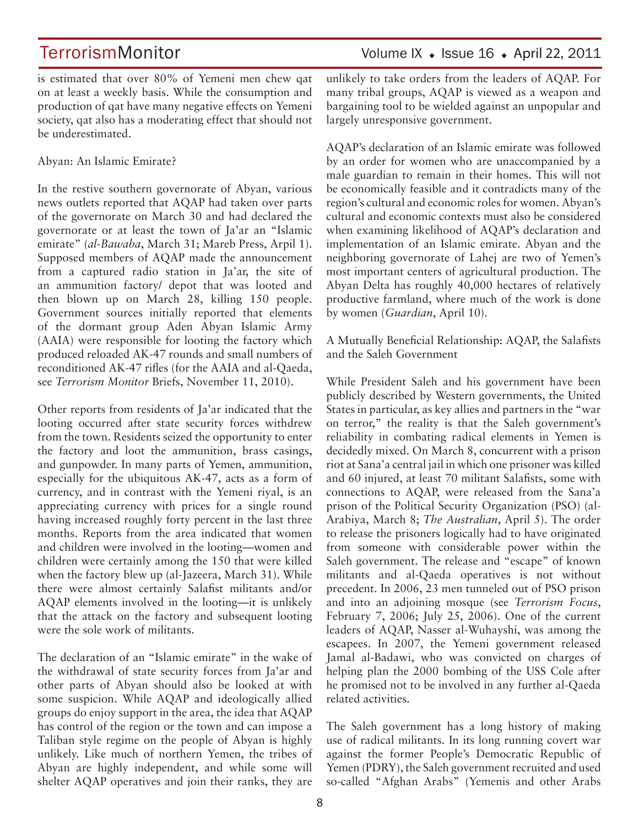is estimated that over 80% of Yemeni men chew qat on at least a weekly basis. While the consumption and production of qat have many negative effects on Yemeni society, qat also has a moderating effect that should not be underestimated.

Abyan: An Islamic Emirate?

In the restive southern governorate of Abyan, various news outlets reported that AQAP had taken over parts of the governorate on March 30 and had declared the governorate or at least the town of Ja'ar an "Islamic emirate" (*al-Bawaba*, March 31; Mareb Press, Arpil 1). Supposed members of AQAP made the announcement from a captured radio station in Ja'ar, the site of an ammunition factory/ depot that was looted and then blown up on March 28, killing 150 people. Government sources initially reported that elements of the dormant group Aden Abyan Islamic Army (AAIA) were responsible for looting the factory which produced reloaded AK-47 rounds and small numbers of reconditioned AK-47 rifles (for the AAIA and al-Qaeda, see *Terrorism Monitor* Briefs, November 11, 2010).

Other reports from residents of Ja'ar indicated that the looting occurred after state security forces withdrew from the town. Residents seized the opportunity to enter the factory and loot the ammunition, brass casings, and gunpowder. In many parts of Yemen, ammunition, especially for the ubiquitous AK-47, acts as a form of currency, and in contrast with the Yemeni riyal, is an appreciating currency with prices for a single round having increased roughly forty percent in the last three months. Reports from the area indicated that women and children were involved in the looting—women and children were certainly among the 150 that were killed when the factory blew up (al-Jazeera, March 31). While there were almost certainly Salafist militants and/or AQAP elements involved in the looting—it is unlikely that the attack on the factory and subsequent looting were the sole work of militants.

The declaration of an "Islamic emirate" in the wake of the withdrawal of state security forces from Ja'ar and other parts of Abyan should also be looked at with some suspicion. While AQAP and ideologically allied groups do enjoy support in the area, the idea that AQAP has control of the region or the town and can impose a Taliban style regime on the people of Abyan is highly unlikely. Like much of northern Yemen, the tribes of Abyan are highly independent, and while some will shelter AQAP operatives and join their ranks, they are

TerrorismMonitor Volume IX + Issue 16 + April 22, 2011

unlikely to take orders from the leaders of AQAP. For many tribal groups, AQAP is viewed as a weapon and bargaining tool to be wielded against an unpopular and largely unresponsive government.

AQAP's declaration of an Islamic emirate was followed by an order for women who are unaccompanied by a male guardian to remain in their homes. This will not be economically feasible and it contradicts many of the region's cultural and economic roles for women. Abyan's cultural and economic contexts must also be considered when examining likelihood of AQAP's declaration and implementation of an Islamic emirate. Abyan and the neighboring governorate of Lahej are two of Yemen's most important centers of agricultural production. The Abyan Delta has roughly 40,000 hectares of relatively productive farmland, where much of the work is done by women (*Guardian*, April 10).

A Mutually Beneficial Relationship: AQAP, the Salafists and the Saleh Government

While President Saleh and his government have been publicly described by Western governments, the United States in particular, as key allies and partners in the "war on terror," the reality is that the Saleh government's reliability in combating radical elements in Yemen is decidedly mixed. On March 8, concurrent with a prison riot at Sana'a central jail in which one prisoner was killed and 60 injured, at least 70 militant Salafists, some with connections to AQAP, were released from the Sana'a prison of the Political Security Organization (PSO) (al-Arabiya, March 8; *The Australian*, April 5). The order to release the prisoners logically had to have originated from someone with considerable power within the Saleh government. The release and "escape" of known militants and al-Qaeda operatives is not without precedent. In 2006, 23 men tunneled out of PSO prison and into an adjoining mosque (see *Terrorism Focus*, February 7, 2006; July 25, 2006). One of the current leaders of AQAP, Nasser al-Wuhayshi, was among the escapees. In 2007, the Yemeni government released Jamal al-Badawi, who was convicted on charges of helping plan the 2000 bombing of the USS Cole after he promised not to be involved in any further al-Qaeda related activities.

The Saleh government has a long history of making use of radical militants. In its long running covert war against the former People's Democratic Republic of Yemen (PDRY), the Saleh government recruited and used so-called "Afghan Arabs" (Yemenis and other Arabs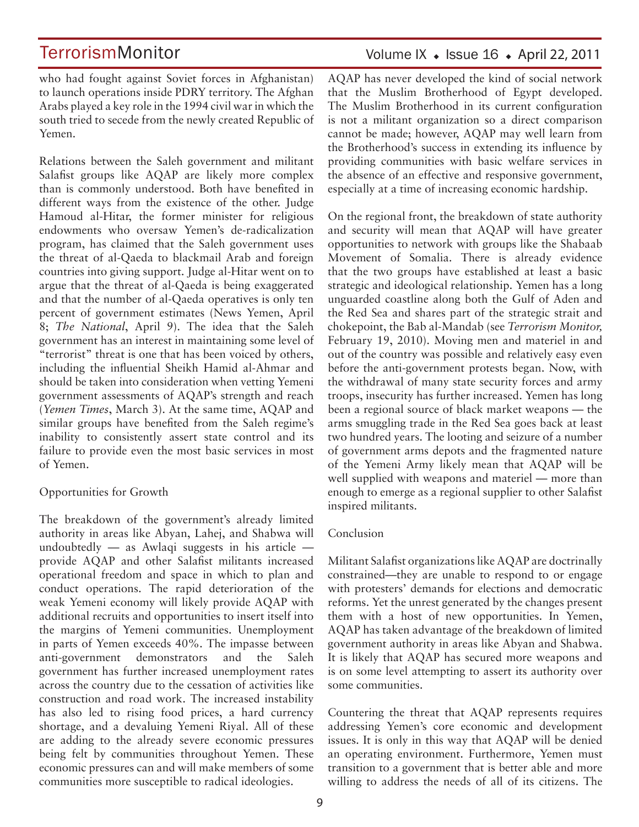who had fought against Soviet forces in Afghanistan) to launch operations inside PDRY territory. The Afghan Arabs played a key role in the 1994 civil war in which the south tried to secede from the newly created Republic of Yemen.

Relations between the Saleh government and militant Salafist groups like AQAP are likely more complex than is commonly understood. Both have benefited in different ways from the existence of the other. Judge Hamoud al-Hitar, the former minister for religious endowments who oversaw Yemen's de-radicalization program, has claimed that the Saleh government uses the threat of al-Qaeda to blackmail Arab and foreign countries into giving support. Judge al-Hitar went on to argue that the threat of al-Qaeda is being exaggerated and that the number of al-Qaeda operatives is only ten percent of government estimates (News Yemen, April 8; *The National*, April 9). The idea that the Saleh government has an interest in maintaining some level of "terrorist" threat is one that has been voiced by others, including the influential Sheikh Hamid al-Ahmar and should be taken into consideration when vetting Yemeni government assessments of AQAP's strength and reach (*Yemen Times*, March 3). At the same time, AQAP and similar groups have benefited from the Saleh regime's inability to consistently assert state control and its failure to provide even the most basic services in most of Yemen.

### Opportunities for Growth

The breakdown of the government's already limited authority in areas like Abyan, Lahej, and Shabwa will undoubtedly  $-$  as Awlaqi suggests in his article  $$ provide AQAP and other Salafist militants increased operational freedom and space in which to plan and conduct operations. The rapid deterioration of the weak Yemeni economy will likely provide AQAP with additional recruits and opportunities to insert itself into the margins of Yemeni communities. Unemployment in parts of Yemen exceeds 40%. The impasse between anti-government demonstrators and the Saleh government has further increased unemployment rates across the country due to the cessation of activities like construction and road work. The increased instability has also led to rising food prices, a hard currency shortage, and a devaluing Yemeni Riyal. All of these are adding to the already severe economic pressures being felt by communities throughout Yemen. These economic pressures can and will make members of some communities more susceptible to radical ideologies.

### Volume IX  $\bullet$  Issue 16  $\bullet$  April 22, 2011

AQAP has never developed the kind of social network that the Muslim Brotherhood of Egypt developed. The Muslim Brotherhood in its current configuration is not a militant organization so a direct comparison cannot be made; however, AQAP may well learn from the Brotherhood's success in extending its influence by providing communities with basic welfare services in the absence of an effective and responsive government, especially at a time of increasing economic hardship.

On the regional front, the breakdown of state authority and security will mean that AQAP will have greater opportunities to network with groups like the Shabaab Movement of Somalia. There is already evidence that the two groups have established at least a basic strategic and ideological relationship. Yemen has a long unguarded coastline along both the Gulf of Aden and the Red Sea and shares part of the strategic strait and chokepoint, the Bab al-Mandab (see *Terrorism Monitor,* February 19, 2010). Moving men and materiel in and out of the country was possible and relatively easy even before the anti-government protests began. Now, with the withdrawal of many state security forces and army troops, insecurity has further increased. Yemen has long been a regional source of black market weapons — the arms smuggling trade in the Red Sea goes back at least two hundred years. The looting and seizure of a number of government arms depots and the fragmented nature of the Yemeni Army likely mean that AQAP will be well supplied with weapons and materiel — more than enough to emerge as a regional supplier to other Salafist inspired militants.

### Conclusion

Militant Salafist organizations like AQAP are doctrinally constrained—they are unable to respond to or engage with protesters' demands for elections and democratic reforms. Yet the unrest generated by the changes present them with a host of new opportunities. In Yemen, AQAP has taken advantage of the breakdown of limited government authority in areas like Abyan and Shabwa. It is likely that AQAP has secured more weapons and is on some level attempting to assert its authority over some communities.

Countering the threat that AQAP represents requires addressing Yemen's core economic and development issues. It is only in this way that AQAP will be denied an operating environment. Furthermore, Yemen must transition to a government that is better able and more willing to address the needs of all of its citizens. The